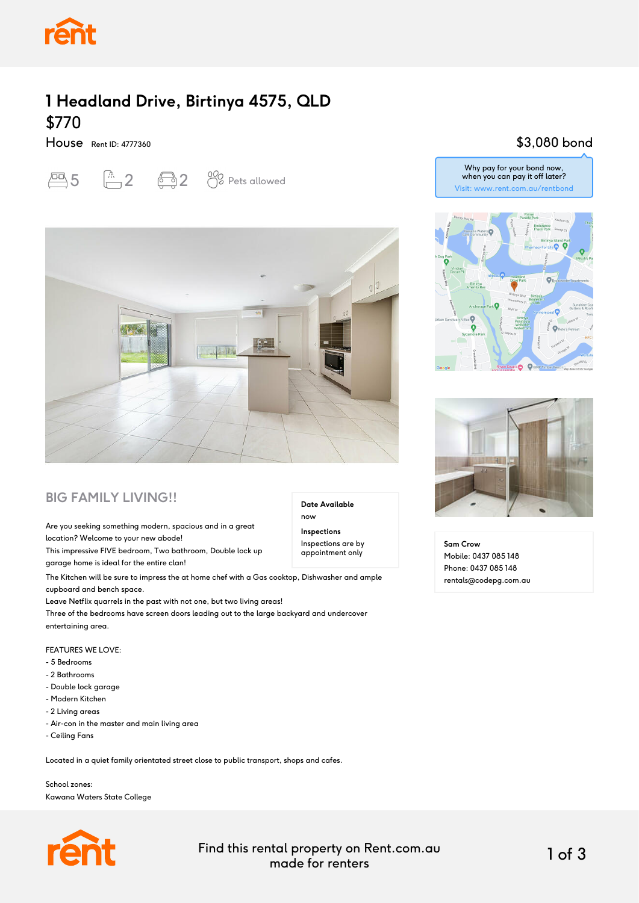

### **1 Headland Drive, Birtinya 4575, QLD** \$770

House Rent ID: 4777360

# $\overline{2}$  5  $\overline{1}$  2  $\overline{3}$  2  $\overline{3}$  Pets allowed



#### **BIG FAMILY LIVING!!**

Are you seeking something modern, spacious and in a great location? Welcome to your new abode!

This impressive FIVE bedroom, Two bathroom, Double lock up garage home is ideal for the entire clan!

The Kitchen will be sure to impress the at home chef with a Gas cooktop, Dishwasher and ample cupboard and bench space.

Leave Netflix quarrels in the past with not one, but two living areas!

Three of the bedrooms have screen doors leading out to the large backyard and undercover entertaining area.

FEATURES WE LOVE:

- 5 Bedrooms
- 2 Bathrooms
- Double lock garage
- Modern Kitchen
- 2 Living areas
- Air-con in the master and main living area
- Ceiling Fans

Located in a quiet family orientated street close to public transport, shops and cafes.

School zones: Kawana Waters State College



Find this rental property on Rent.com.au made for renters 1 of 3

**Date Available**

now **Inspections** Inspections are by appointment only

#### \$3,080 bond

Why pay for your bond now, when you can pay it off later? Visit: www.rent.com.au/rentbond





**Sam Crow** Mobile: 0437 085 148 Phone: 0437 085 148 rentals@codepg.com.au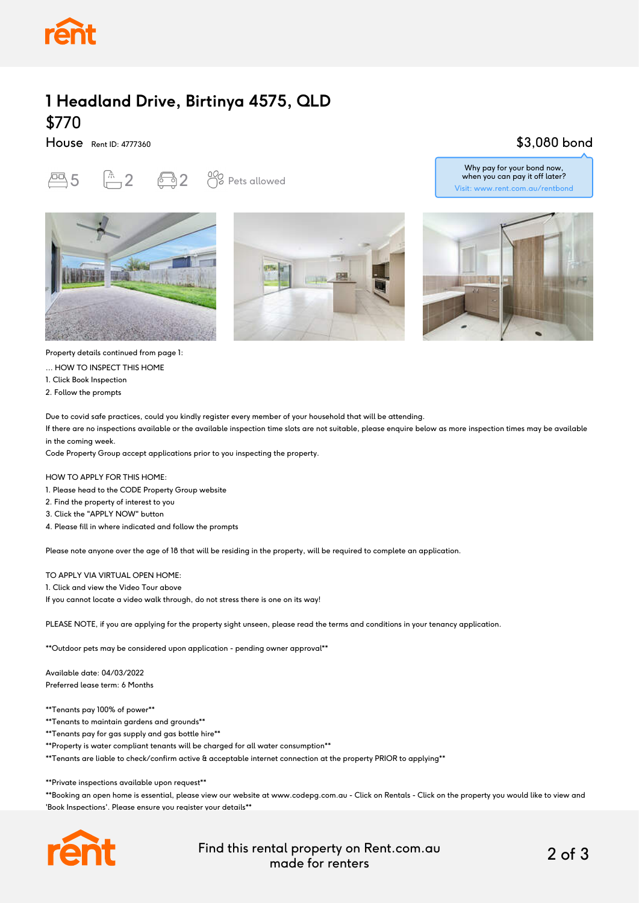

## **1 Headland Drive, Birtinya 4575, QLD** \$770

House Rent ID: 4777360

# $\overline{P}$ 5  $\overline{P}$  2  $\overline{P}$  2  $\overline{O}$  Pets allowed







\$3,080 bond



Property details continued from page 1:

... HOW TO INSPECT THIS HOME

1. Click Book Inspection

2. Follow the prompts

Due to covid safe practices, could you kindly register every member of your household that will be attending.

If there are no inspections available or the available inspection time slots are not suitable, please enquire below as more inspection times may be available in the coming week.

Code Property Group accept applications prior to you inspecting the property.

HOW TO APPLY FOR THIS HOME:

- 1. Please head to the CODE Property Group website
- 2. Find the property of interest to you
- 3. Click the "APPLY NOW" button
- 4. Please fill in where indicated and follow the prompts

Please note anyone over the age of 18 that will be residing in the property, will be required to complete an application.

#### TO APPLY VIA VIRTUAL OPEN HOME:

1. Click and view the Video Tour above

If you cannot locate a video walk through, do not stress there is one on its way!

PLEASE NOTE, if you are applying for the property sight unseen, please read the terms and conditions in your tenancy application.

\*\*Outdoor pets may be considered upon application - pending owner approval\*\*

Available date: 04/03/2022 Preferred lease term: 6 Months

\*\*Tenants pay 100% of power\*\*

\*\*Tenants to maintain gardens and grounds\*\*

\*\*Tenants pay for gas supply and gas bottle hire\*\*

\*\*Property is water compliant tenants will be charged for all water consumption\*\*

\*\*Tenants are liable to check/confirm active & acceptable internet connection at the property PRIOR to applying\*\*

\*\*Private inspections available upon request\*\*

\*\*Booking an open home is essential, please view our website at www.codepg.com.au - Click on Rentals - Click on the property you would like to view and 'Book Inspections'. Please ensure you register your details\*\*



Find this rental property on Rent.com.au made for renters 2 of 3